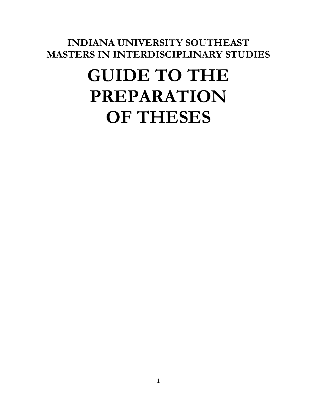# **INDIANA UNIVERSITY SOUTHEAST MASTERS IN INTERDISCIPLINARY STUDIES**

# **GUIDE TO THE PREPARATION OF THESES**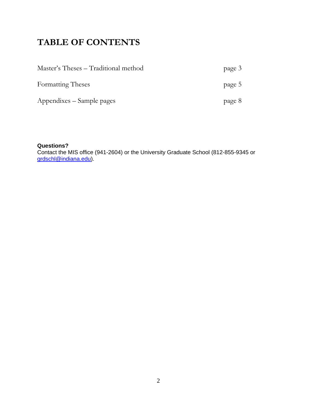# **TABLE OF CONTENTS**

| Master's Theses – Traditional method | page 3 |
|--------------------------------------|--------|
| Formatting Theses                    | page 5 |
| Appendixes – Sample pages            | page 8 |

#### **Questions?**

Contact the MIS office (941-2604) or the University Graduate School (812-855-9345 or [grdschl@indiana.edu\)](mailto:grdschl@indiana.edu).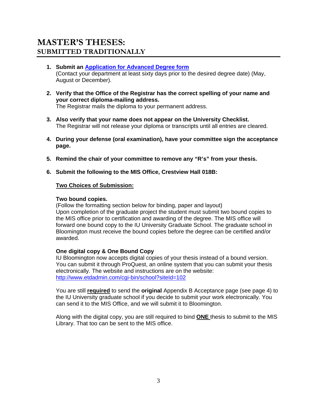# **MASTER'S THESES: SUBMITTED TRADITIONALLY**

- **1. Submit an [Application for Advanced Degree form](http://graduate.indiana.edu/docs/APP_FOR_ADV_DEG.pdf)** (Contact your department at least sixty days prior to the desired degree date) (May, August or December).
- **2. Verify that the Office of the Registrar has the correct spelling of your name and your correct diploma-mailing address.** The Registrar mails the diploma to your permanent address.
- **3. Also verify that your name does not appear on the University Checklist.** The Registrar will not release your diploma or transcripts until all entries are cleared.
- **4. During your defense (oral examination), have your committee sign the acceptance page.**
- **5. Remind the chair of your committee to remove any "R's" from your thesis.**
- **6. Submit the following to the MIS Office, Crestview Hall 018B:**

#### **Two Choices of Submission:**

#### **Two bound copies.**

(Follow the formatting section below for binding, paper and layout) Upon completion of the graduate project the student must submit two bound copies to the MIS office prior to certification and awarding of the degree. The MIS office will forward one bound copy to the IU University Graduate School. The graduate school in Bloomington must receive the bound copies before the degree can be certified and/or awarded.

#### **One digital copy & One Bound Copy**

IU Bloomington now accepts digital copies of your thesis instead of a bound version. You can submit it through ProQuest, an online system that you can submit your thesis electronically. The website and instructions are on the website: <http://www.etdadmin.com/cgi-bin/school?siteId=102>

You are still **required** to send the **original** Appendix B Acceptance page (see page 4) to the IU University graduate school if you decide to submit your work electronically. You can send it to the MIS Office, and we will submit it to Bloomington.

Along with the digital copy, you are still required to bind **ONE** thesis to submit to the MIS Library. That too can be sent to the MIS office.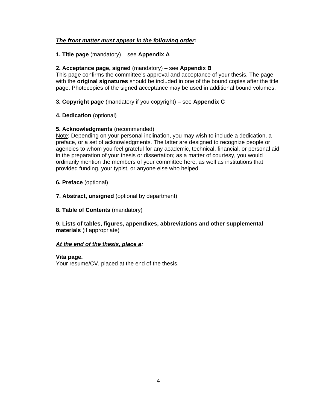### *The front matter must appear in the following order:*

#### **1. Title page** (mandatory) – see **Appendix A**

#### **2. Acceptance page, signed** (mandatory) – see **Appendix B**

This page confirms the committee's approval and acceptance of your thesis. The page with the **original signatures** should be included in one of the bound copies after the title page. Photocopies of the signed acceptance may be used in additional bound volumes.

**3. Copyright page** (mandatory if you copyright) – see **Appendix C**

**4. Dedication** (optional)

#### **5. Acknowledgments** (recommended)

Note: Depending on your personal inclination, you may wish to include a dedication, a preface, or a set of acknowledgments. The latter are designed to recognize people or agencies to whom you feel grateful for any academic, technical, financial, or personal aid in the preparation of your thesis or dissertation; as a matter of courtesy, you would ordinarily mention the members of your committee here, as well as institutions that provided funding, your typist, or anyone else who helped.

- **6. Preface** (optional)
- **7. Abstract, unsigned** (optional by department)
- **8. Table of Contents** (mandatory)

**9. Lists of tables, figures, appendixes, abbreviations and other supplemental materials** (if appropriate)

#### *At the end of the thesis, place a:*

#### **Vita page.**

Your resume/CV, placed at the end of the thesis.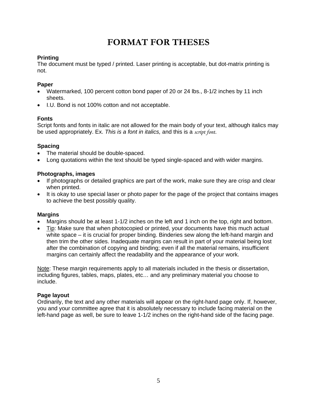# **FORMAT FOR THESES**

# **Printing**

The document must be typed / printed. Laser printing is acceptable, but dot-matrix printing is not.

# **Paper**

- Watermarked, 100 percent cotton bond paper of 20 or 24 lbs., 8-1/2 inches by 11 inch sheets.
- I.U. Bond is not 100% cotton and not acceptable.

# **Fonts**

Script fonts and fonts in italic are not allowed for the main body of your text, although italics may be used appropriately. Ex. *This is a font in italics,* and this is a *script font*.

# **Spacing**

- The material should be double-spaced.
- Long quotations within the text should be typed single-spaced and with wider margins.

# **Photographs, images**

- If photographs or detailed graphics are part of the work, make sure they are crisp and clear when printed.
- It is okay to use special laser or photo paper for the page of the project that contains images to achieve the best possibly quality.

# **Margins**

- Margins should be at least 1-1/2 inches on the left and 1 inch on the top, right and bottom.
- Tip: Make sure that when photocopied or printed, your documents have this much actual white space – it is crucial for proper binding. Binderies sew along the left-hand margin and then trim the other sides. Inadequate margins can result in part of your material being lost after the combination of copying and binding; even if all the material remains, insufficient margins can certainly affect the readability and the appearance of your work.

Note: These margin requirements apply to all materials included in the thesis or dissertation, including figures, tables, maps, plates, etc… and any preliminary material you choose to include.

# **Page layout**

Ordinarily, the text and any other materials will appear on the right-hand page only. If, however, you and your committee agree that it is absolutely necessary to include facing material on the left-hand page as well, be sure to leave 1-1/2 inches on the right-hand side of the facing page.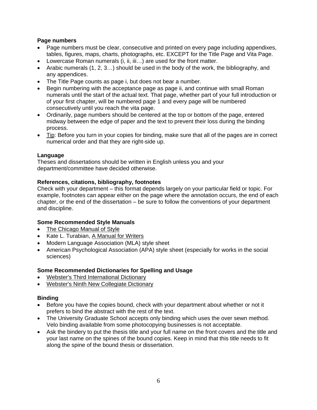#### **Page numbers**

- Page numbers must be clear, consecutive and printed on every page including appendixes, tables, figures, maps, charts, photographs, etc. EXCEPT for the Title Page and Vita Page.
- Lowercase Roman numerals (i, ii, iii…) are used for the front matter.
- Arabic numerals  $(1, 2, 3...)$  should be used in the body of the work, the bibliography, and any appendices.
- The Title Page counts as page i, but does not bear a number.
- Begin numbering with the acceptance page as page ii, and continue with small Roman numerals until the start of the actual text. That page, whether part of your full introduction or of your first chapter, will be numbered page 1 and every page will be numbered consecutively until you reach the vita page.
- Ordinarily, page numbers should be centered at the top or bottom of the page, entered midway between the edge of paper and the text to prevent their loss during the binding process.
- Tip: Before you turn in your copies for binding, make sure that all of the pages are in correct numerical order and that they are right-side up.

### **Language**

Theses and dissertations should be written in English unless you and your department/committee have decided otherwise.

### **References, citations, bibliography, footnotes**

Check with your department – this format depends largely on your particular field or topic. For example, footnotes can appear either on the page where the annotation occurs, the end of each chapter, or the end of the dissertation – be sure to follow the conventions of your department and discipline.

# **Some Recommended Style Manuals**

- The Chicago Manual of Style
- Kate L. Turabian, A Manual for Writers
- Modern Language Association (MLA) style sheet
- American Psychological Association (APA) style sheet (especially for works in the social sciences)

#### **Some Recommended Dictionaries for Spelling and Usage**

- Webster's Third International Dictionary
- Webster's Ninth New Collegiate Dictionary

# **Binding**

- Before you have the copies bound, check with your department about whether or not it prefers to bind the abstract with the rest of the text.
- The University Graduate School accepts only binding which uses the over sewn method. Velo binding available from some photocopying businesses is not acceptable.
- Ask the bindery to put the thesis title and your full name on the front covers and the title and your last name on the spines of the bound copies. Keep in mind that this title needs to fit along the spine of the bound thesis or dissertation.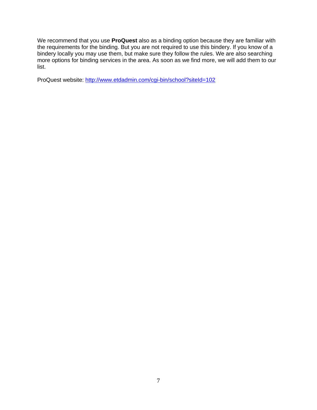We recommend that you use **ProQuest** also as a binding option because they are familiar with the requirements for the binding. But you are not required to use this bindery. If you know of a bindery locally you may use them, but make sure they follow the rules. We are also searching more options for binding services in the area. As soon as we find more, we will add them to our list.

ProQuest website:<http://www.etdadmin.com/cgi-bin/school?siteId=102>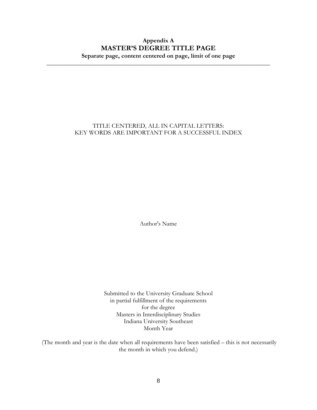# **Appendix A MASTER'S DEGREE TITLE PAGE Separate page, content centered on page, limit of one page**

 $\_$  , and the set of the set of the set of the set of the set of the set of the set of the set of the set of the set of the set of the set of the set of the set of the set of the set of the set of the set of the set of th

#### TITLE CENTERED, ALL IN CAPITAL LETTERS: KEY WORDS ARE IMPORTANT FOR A SUCCESSFUL INDEX

Author's Name

Submitted to the University Graduate School in partial fulfillment of the requirements for the degree Masters in Interdisciplinary Studies Indiana University Southeast Month Year

(The month and year is the date when all requirements have been satisfied – this is not necessarily the month in which you defend.)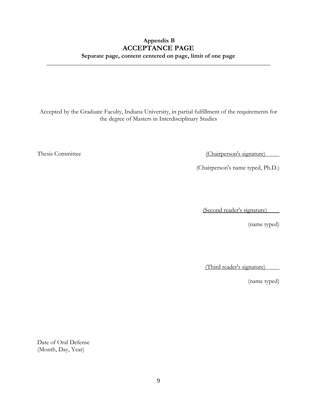# **Appendix B ACCEPTANCE PAGE Separate page, content centered on page, limit of one page**

 $\_$  , and the set of the set of the set of the set of the set of the set of the set of the set of the set of the set of the set of the set of the set of the set of the set of the set of the set of the set of the set of th

Accepted by the Graduate Faculty, Indiana University, in partial fulfillment of the requirements for the degree of Masters in Interdisciplinary Studies

Thesis Committee

(Chairperson's signature)

(Chairperson's name typed, Ph.D.)

(Second reader's signature)

(name typed)

(Third reader's signature)

(name typed)

Date of Oral Defense (Month, Day, Year)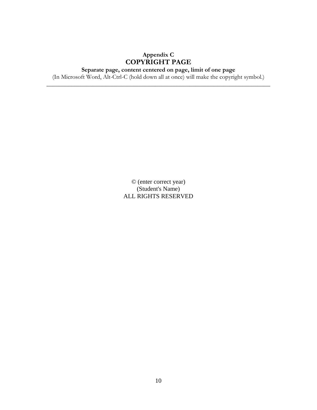# **Appendix C COPYRIGHT PAGE**

**Separate page, content centered on page, limit of one page**

(In Microsoft Word, Alt-Ctrl-C (hold down all at once) will make the copyright symbol.)  $\_$  , and the set of the set of the set of the set of the set of the set of the set of the set of the set of the set of the set of the set of the set of the set of the set of the set of the set of the set of the set of th

> © (enter correct year) (Student's Name) ALL RIGHTS RESERVED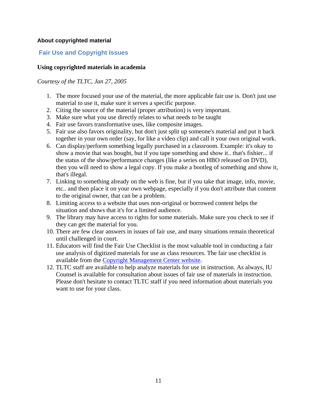#### **About copyrighted material**

# **Fair Use and Copyright Issues**

### **Using copyrighted materials in academia**

#### *Courtesy of the TLTC, Jan 27, 2005*

- 1. The more focused your use of the material, the more applicable fair use is. Don't just use material to use it, make sure it serves a specific purpose.
- 2. Citing the source of the material (proper attribution) is very important.
- 3. Make sure what you use directly relates to what needs to be taught
- 4. Fair use favors transformative uses, like composite images.
- 5. Fair use also favors originality, but don't just split up someone's material and put it back together in your own order (say, for like a video clip) and call it your own original work.
- 6. Can display/perform something legally purchased in a classroom. Example: it's okay to show a movie that was bought, but if you tape something and show it.. that's fishier... if the status of the show/performance changes (like a series on HBO released on DVD), then you will need to show a legal copy. If you make a bootleg of something and show it, that's illegal.
- 7. Linking to something already on the web is fine, but if you take that image, info, movie, etc.. and then place it on your own webpage, especially if you don't attribute that content to the original owner, that can be a problem.
- 8. Limiting access to a website that uses non-original or borrowed content helps the situation and shows that it's for a limited audience.
- 9. The library may have access to rights for some materials. Make sure you check to see if they can get the material for you.
- 10. There are few clear answers in issues of fair use, and many situations remain theoretical until challenged in court.
- 11. Educators will find the Fair Use Checklist is the most valuable tool in conducting a fair use analysis of digitized materials for use as class resources. The fair use checklist is available from the [Copyright Management Center website.](http://www.copyright.iupui.edu/)
- 12. TLTC staff are available to help analyze materials for use in instruction. As always, IU Counsel is available for consultation about issues of fair use of materials in instruction. Please don't hesitate to contact TLTC staff if you need information about materials you want to use for your class.